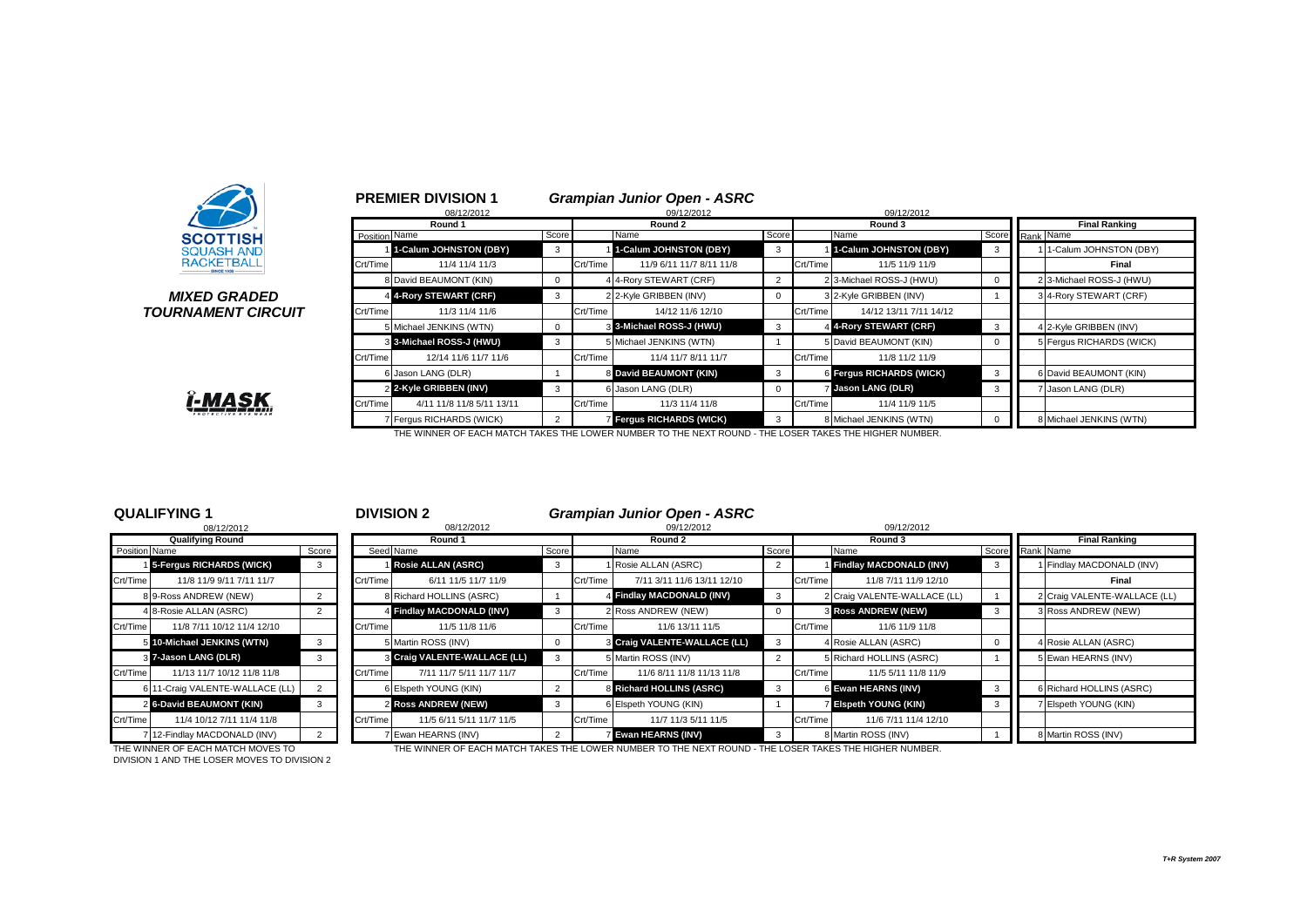

# **TOURNAMENT CIRCUIT**

|                                      |               | <b>PREMIER DIVISION 1</b><br>08/12/2012 |                |          | <b>Grampian Junior Open - ASRC</b><br>09/12/2012 |                |          | 09/12/2012               |       |                      |                          |
|--------------------------------------|---------------|-----------------------------------------|----------------|----------|--------------------------------------------------|----------------|----------|--------------------------|-------|----------------------|--------------------------|
|                                      |               | Round 1                                 | Round 2        |          |                                                  | Round 3        |          |                          |       | <b>Final Ranking</b> |                          |
| <b>SCOTTISH</b>                      | Position Name |                                         | Score          |          | Name                                             | Score          |          | Name                     | Score |                      | Rank Name                |
| <b>SQUASH AND</b>                    |               | 1-Calum JOHNSTON (DBY)                  | 3              |          | 1-Calum JOHNSTON (DBY)                           | 3              |          | 1-Calum JOHNSTON (DBY)   | 3     |                      | 1-Calum JOHNSTON (DBY)   |
| <b>RACKETBALL</b>                    | Crt/Time      | 11/4 11/4 11/3                          |                | Crt/Time | 11/9 6/11 11/7 8/11 11/8                         |                | Crt/Time | 11/5 11/9 11/9           |       |                      | Final                    |
|                                      |               | 8 David BEAUMONT (KIN)                  | $\mathbf{0}$   |          | 4 4-Rory STEWART (CRF)                           | $\overline{2}$ |          | 2 3-Michael ROSS-J (HWU) | 0     |                      | 2 3-Michael ROSS-J (HWU) |
| <i><b>MIXED GRADED</b></i>           |               | 4 4-Rory STEWART (CRF)                  | 3              |          | 2 2-Kyle GRIBBEN (INV)                           | $\mathbf 0$    |          | 3 2-Kyle GRIBBEN (INV)   |       |                      | 34-Rory STEWART (CRF)    |
| <i><b>IRNAMENT CIRCUIT</b></i>       | Crt/Time      | 11/3 11/4 11/6                          |                | Crt/Time | 14/12 11/6 12/10                                 |                | Crt/Time | 14/12 13/11 7/11 14/12   |       |                      |                          |
|                                      |               | 5 Michael JENKINS (WTN)                 | $\mathbf{0}$   |          | 3 3-Michael ROSS-J (HWU)                         | 3              |          | 4 4-Rory STEWART (CRF)   | 3     |                      | 4 2-Kyle GRIBBEN (INV)   |
|                                      |               | 3 3-Michael ROSS-J (HWU)                | 3              |          | 5 Michael JENKINS (WTN)                          |                |          | 5 David BEAUMONT (KIN)   | 0     |                      | 5 Fergus RICHARDS (WICK) |
|                                      | Crt/Time      | 12/14 11/6 11/7 11/6                    |                | Crt/Time | 11/4 11/7 8/11 11/7                              |                | Crt/Time | 11/8 11/2 11/9           |       |                      |                          |
|                                      |               | 6 Jason LANG (DLR)                      |                |          | 8 David BEAUMONT (KIN)                           | $\mathbf{3}$   |          | 6 Fergus RICHARDS (WICK) | 3     |                      | 6 David BEAUMONT (KIN)   |
|                                      |               | 2 2-Kyle GRIBBEN (INV)                  | 3              |          | 6 Jason LANG (DLR)                               | 0              |          | <b>Jason LANG (DLR)</b>  | 3     |                      | Jason LANG (DLR)         |
| <b>î-MASK</b><br>PROTECTIVE EYE WEAR | Crt/Time      | 4/11 11/8 11/8 5/11 13/11               |                | Crt/Time | 11/3 11/4 11/8                                   |                | Crt/Time | 11/4 11/9 11/5           |       |                      |                          |
|                                      |               | 7 Fergus RICHARDS (WICK)                | $\overline{2}$ |          | Fergus RICHARDS (WICK)                           | 3              |          | 8 Michael JENKINS (WTN)  |       |                      | 8 Michael JENKINS (WTN)  |

# Î-MASK

THE WINNER OF EACH MATCH TAKES THE LOWER NUMBER TO THE NEXT ROUND - THE LOSER TAKES THE HIGHER NUMBER.

|               | <b>QUALIFYING 1</b><br><b>DIVISION 2</b><br><b>Grampian Junior Open - ASRC</b> |       |          |                              |                |          |                              |          |          |                              |       |                              |
|---------------|--------------------------------------------------------------------------------|-------|----------|------------------------------|----------------|----------|------------------------------|----------|----------|------------------------------|-------|------------------------------|
|               | 08/12/2012                                                                     |       |          | 08/12/2012                   |                |          | 09/12/2012                   |          |          | 09/12/2012                   |       |                              |
|               | <b>Qualifying Round</b>                                                        |       |          | Round 1                      |                |          | Round 2                      |          |          | Round 3                      |       | <b>Final Ranking</b>         |
| Position Name |                                                                                | Score |          | Seed Name                    | Score          |          | Name                         | Score    |          | Name                         | Score | Rank Name                    |
|               | 5-Fergus RICHARDS (WICK)                                                       |       |          | <b>Rosie ALLAN (ASRC)</b>    | -3             |          | 1 Rosie ALLAN (ASRC)         |          |          | Findlay MACDONALD (INV)      |       | 1 Findlay MACDONALD (INV)    |
| Crt/Time      | 11/8 11/9 9/11 7/11 11/7                                                       |       | Crt/Time | 6/11 11/5 11/7 11/9          |                | Crt/Time | 7/11 3/11 11/6 13/11 12/10   |          | Crt/Time | 11/8 7/11 11/9 12/10         |       | Final                        |
|               | 8 9-Ross ANDREW (NEW)                                                          |       |          | 8 Richard HOLLINS (ASRC)     |                |          | 4 Findlay MACDONALD (INV)    | 3        |          | 2 Craig VALENTE-WALLACE (LL) |       | 2 Craig VALENTE-WALLACE (LL) |
|               | 4 8-Rosie ALLAN (ASRC)                                                         |       |          | 4 Findlay MACDONALD (INV)    |                |          | 2 Ross ANDREW (NEW)          | $\Omega$ |          | <b>B</b> Ross ANDREW (NEW)   |       | 3 Ross ANDREW (NEW)          |
| Crt/Time      | 11/8 7/11 10/12 11/4 12/10                                                     |       | Crt/Time | 11/5 11/8 11/6               |                | Crt/Time | 11/6 13/11 11/5              |          | Crt/Time | 11/6 11/9 11/8               |       |                              |
|               | 5 10-Michael JENKINS (WTN)                                                     |       |          | 5 Martin ROSS (INV)          |                |          | 8 Craig VALENTE-WALLACE (LL) | 3        |          | 4 Rosie ALLAN (ASRC)         |       | 4 Rosie ALLAN (ASRC)         |
|               | 3 7-Jason LANG (DLR)                                                           |       |          | 3 Craig VALENTE-WALLACE (LL) |                |          | 5 Martin ROSS (INV)          |          |          | 5 Richard HOLLINS (ASRC)     |       | 5 Ewan HEARNS (INV)          |
| Crt/Time      | 11/13 11/7 10/12 11/8 11/8                                                     |       | Crt/Time | 7/11 11/7 5/11 11/7 11/7     |                | Crt/Time | 11/6 8/11 11/8 11/13 11/8    |          | Crt/Time | 11/5 5/11 11/8 11/9          |       |                              |
|               | 6 11-Craig VALENTE-WALLACE (LL)                                                | 2     |          | 6 Elspeth YOUNG (KIN)        | $\overline{2}$ |          | 8 Richard HOLLINS (ASRC)     | 3        |          | 6 Ewan HEARNS (INV)          | -3    | 6 Richard HOLLINS (ASRC)     |
|               | 2 6-David BEAUMONT (KIN)                                                       | 3     |          | 2 Ross ANDREW (NEW)          | 3              |          | 6 Elspeth YOUNG (KIN)        |          |          | <b>Elspeth YOUNG (KIN)</b>   | 3     | 7 Elspeth YOUNG (KIN)        |
| Crt/Time      | 11/4 10/12 7/11 11/4 11/8                                                      |       | Crt/Time | 11/5 6/11 5/11 11/7 11/5     |                | Crt/Time | 11/7 11/3 5/11 11/5          |          | Crt/Time | 11/6 7/11 11/4 12/10         |       |                              |
|               | 7 12-Findlay MACDONALD (INV)                                                   |       |          | 7 Ewan HEARNS (INV)          |                |          | <b>Ewan HEARNS (INV)</b>     | - 3      |          | 8 Martin ROSS (INV)          |       | 8 Martin ROSS (INV)          |

DIVISION 1 AND THE LOSER MOVES TO DIVISION 2

THE WINNER OF EACH MATCH MOVES TO THE WINNER OF EACH MATCH TAKES THE LOWER NUMBER TO THE NEXT ROUND - THE LOSER TAKES THE HIGHER NUMBER.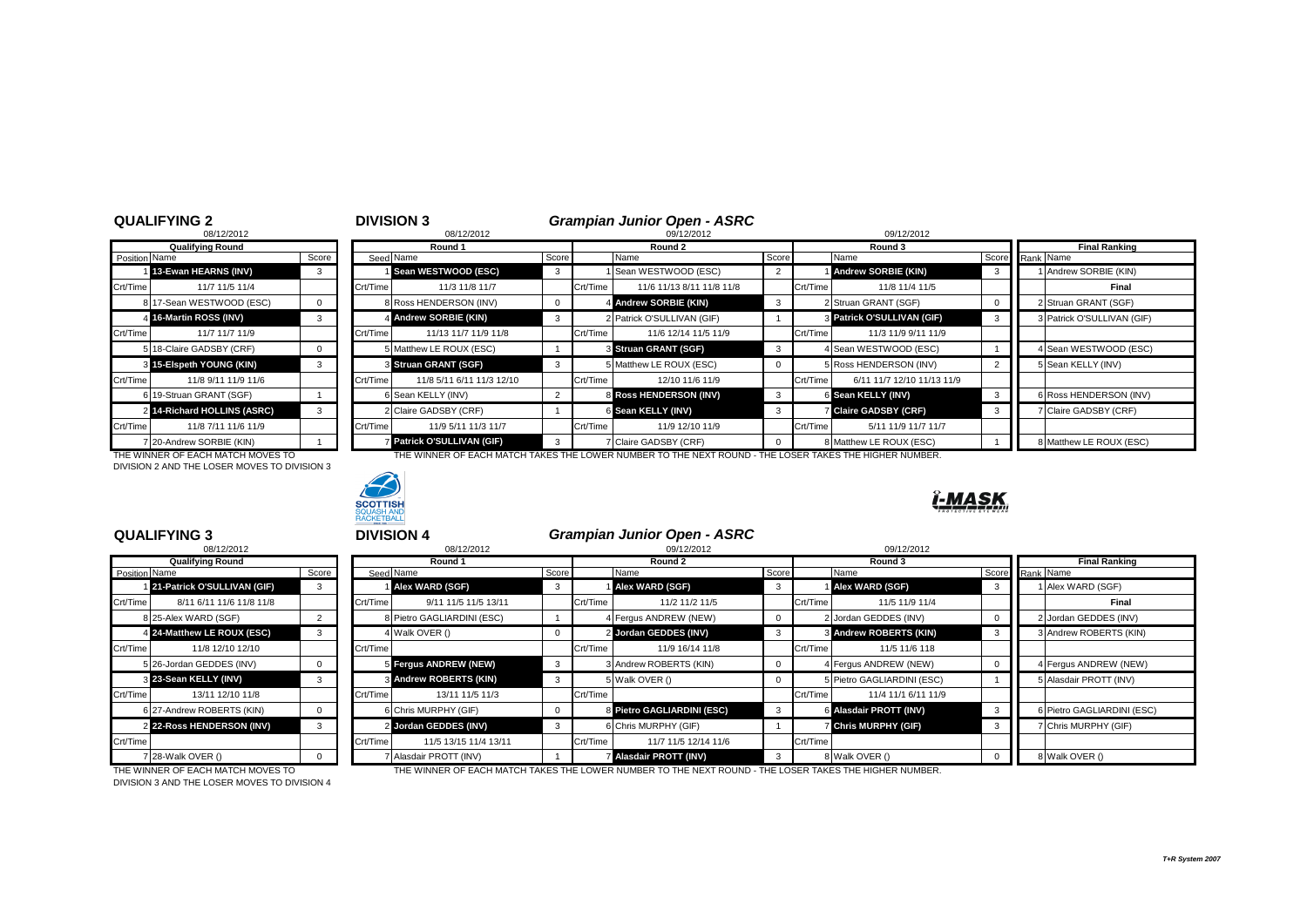|               | <b>QUALIFYING 2</b>               |          |          | <b>DIVISION 3</b>         |                |          | <b>Grampian Junior Open - ASRC</b>                                                                     |          |          |                            |       |                            |  |
|---------------|-----------------------------------|----------|----------|---------------------------|----------------|----------|--------------------------------------------------------------------------------------------------------|----------|----------|----------------------------|-------|----------------------------|--|
|               | 08/12/2012                        |          |          | 08/12/2012                | 09/12/2012     |          |                                                                                                        |          |          | 09/12/2012                 |       |                            |  |
|               | <b>Qualifying Round</b>           |          | Round 1  |                           |                | Round 2  |                                                                                                        |          |          | Round 3                    |       | <b>Final Ranking</b>       |  |
| Position Name |                                   | Score    |          | Seed Name                 | Score          |          | Name                                                                                                   | Score    |          | Name                       | Score | Rank Name                  |  |
|               | 13-Ewan HEARNS (INV)              | 3        |          | Sean WESTWOOD (ESC)       | 3              |          | 1 Sean WESTWOOD (ESC)                                                                                  | 2        |          | <b>Andrew SORBIE (KIN)</b> | -3    | Andrew SORBIE (KIN)        |  |
| Crt/Time      | 11/7 11/5 11/4                    |          | Crt/Time | 11/3 11/8 11/7            |                | Crt/Time | 11/6 11/13 8/11 11/8 11/8                                                                              |          | Crt/Time | 11/8 11/4 11/5             |       | Final                      |  |
|               | 8 17-Sean WESTWOOD (ESC)          | $\Omega$ |          | 8 Ross HENDERSON (INV)    | $\overline{0}$ |          | 4 Andrew SORBIE (KIN)                                                                                  | 3        |          | 2 Struan GRANT (SGF)       |       | 2 Struan GRANT (SGF)       |  |
|               | 4 16-Martin ROSS (INV)            | 3        |          | 4 Andrew SORBIE (KIN)     | 3              |          | 2 Patrick O'SULLIVAN (GIF)                                                                             |          |          | 3 Patrick O'SULLIVAN (GIF) | -3    | 3 Patrick O'SULLIVAN (GIF) |  |
| Crt/Time      | 11/7 11/7 11/9                    |          | Crt/Time | 11/13 11/7 11/9 11/8      |                | Crt/Time | 11/6 12/14 11/5 11/9                                                                                   |          | Crt/Time | 11/3 11/9 9/11 11/9        |       |                            |  |
|               | 5 18-Claire GADSBY (CRF)          |          |          | 5 Matthew LE ROUX (ESC)   |                |          | S Struan GRANT (SGF)                                                                                   | 3        |          | 4 Sean WESTWOOD (ESC)      |       | 4 Sean WESTWOOD (ESC)      |  |
|               | 3 15-Elspeth YOUNG (KIN)          |          |          | 3 Struan GRANT (SGF)      | 3              |          | 5 Matthew LE ROUX (ESC)                                                                                | $\Omega$ |          | 5 Ross HENDERSON (INV)     |       | 5 Sean KELLY (INV)         |  |
| Crt/Time      | 11/8 9/11 11/9 11/6               |          | Crt/Time | 11/8 5/11 6/11 11/3 12/10 |                | Crt/Time | 12/10 11/6 11/9                                                                                        |          | Crt/Time | 6/11 11/7 12/10 11/13 11/9 |       |                            |  |
|               | 6 19-Struan GRANT (SGF)           |          |          | 6 Sean KELLY (INV)        | $\overline{2}$ |          | 8 Ross HENDERSON (INV)                                                                                 | 3        |          | 6 Sean KELLY (INV)         | - 3   | 6 Ross HENDERSON (INV)     |  |
|               | 2 14-Richard HOLLINS (ASRC)       | 3        |          | 2 Claire GADSBY (CRF)     |                |          | 6 Sean KELLY (INV)                                                                                     | 3        |          | <b>Claire GADSBY (CRF)</b> |       | 7 Claire GADSBY (CRF)      |  |
| Crt/Time      | 11/8 7/11 11/6 11/9               |          | Crt/Time | 11/9 5/11 11/3 11/7       |                | Crt/Time | 11/9 12/10 11/9                                                                                        |          | Crt/Time | 5/11 11/9 11/7 11/7        |       |                            |  |
|               | 7 20-Andrew SORBIE (KIN)          |          |          | Patrick O'SULLIVAN (GIF)  | -3             |          | 7 Claire GADSBY (CRF)                                                                                  | $\Omega$ |          | 8 Matthew LE ROUX (ESC)    |       | 8 Matthew LE ROUX (ESC)    |  |
|               | THE WINNER OF EACH MATCH MOVES TO |          |          |                           |                |          | THE WINNER OF EACH MATCH TAKES THE LOWER NUMBER TO THE NEXT ROUND - THE LOSER TAKES THE HIGHER NUMBER. |          |          |                            |       |                            |  |

THE WINNER OF EACH MATCH MOVES TO<br>DIVISION 2 AND THE LOSER MOVES TO DIVISION 3



# Î-MASK

|               | <b>QUALIFYING 3</b>               |          | <b>DIVISION 4</b> |                               |              |            | <b>Grampian Junior Open - ASRC</b>                                                                     |          |          |                            |              |                            |
|---------------|-----------------------------------|----------|-------------------|-------------------------------|--------------|------------|--------------------------------------------------------------------------------------------------------|----------|----------|----------------------------|--------------|----------------------------|
|               | 08/12/2012                        |          |                   | 08/12/2012                    |              | 09/12/2012 |                                                                                                        |          |          | 09/12/2012                 |              |                            |
|               | <b>Qualifying Round</b>           |          |                   | Round 1                       |              |            | Round 2                                                                                                |          |          | Round 3                    |              | <b>Final Ranking</b>       |
| Position Name |                                   | Score    |                   | Seed Name                     | Score        |            | Name                                                                                                   | Score    |          | Name                       | Score        | Rank Name                  |
|               | 21-Patrick O'SULLIVAN (GIF)       | 3        |                   | Alex WARD (SGF)               | $\mathbf{3}$ |            | Alex WARD (SGF)                                                                                        | 3        |          | Alex WARD (SGF)            | -3           | 1 Alex WARD (SGF)          |
| Crt/Time      | 8/11 6/11 11/6 11/8 11/8          |          | Crt/Time          | 9/11 11/5 11/5 13/11          |              | Crt/Time   | 11/2 11/2 11/5                                                                                         |          | Crt/Time | 11/5 11/9 11/4             |              | Final                      |
|               | 8 25-Alex WARD (SGF)              |          |                   | 8 Pietro GAGLIARDINI (ESC)    |              |            | 4 Fergus ANDREW (NEW)                                                                                  |          |          | 2 Jordan GEDDES (INV)      | $\Omega$     | 2 Jordan GEDDES (INV)      |
|               | 4 24-Matthew LE ROUX (ESC)        | 3        |                   | 4 Walk OVER ()                |              |            | 2 Jordan GEDDES (INV)                                                                                  | 3        |          | 3 Andrew ROBERTS (KIN)     | 3            | 3 Andrew ROBERTS (KIN)     |
| Crt/Time      | 11/8 12/10 12/10                  |          | Crt/Time          |                               |              | Crt/Time   | 11/9 16/14 11/8                                                                                        |          | Crt/Time | 11/5 11/6 118              |              |                            |
|               | 5 26-Jordan GEDDES (INV)          | $\Omega$ |                   | Fergus ANDREW (NEW)           | $\mathbf{3}$ |            | 3 Andrew ROBERTS (KIN)                                                                                 |          |          | 4 Fergus ANDREW (NEW)      | $\Omega$     | 4 Fergus ANDREW (NEW)      |
|               | 3 23-Sean KELLY (INV)             | 3        |                   | <b>8 Andrew ROBERTS (KIN)</b> | 3            |            | 5 Walk OVER ()                                                                                         | $\Omega$ |          | 5 Pietro GAGLIARDINI (ESC) |              | 5 Alasdair PROTT (INV)     |
| Crt/Time      | 13/11 12/10 11/8                  |          | Crt/Time          | 13/11 11/5 11/3               |              | Crt/Time   |                                                                                                        |          | Crt/Time | 11/4 11/1 6/11 11/9        |              |                            |
|               | 6 27-Andrew ROBERTS (KIN)         | $\Omega$ |                   | 6 Chris MURPHY (GIF)          |              |            | 8 Pietro GAGLIARDINI (ESC)                                                                             | 3        |          | 6 Alasdair PROTT (INV)     | $\mathbf{3}$ | 6 Pietro GAGLIARDINI (ESC) |
|               | 2 22-Ross HENDERSON (INV)         | 3        |                   | 2 Jordan GEDDES (INV)         | 3            |            | <b>SChris MURPHY (GIF)</b>                                                                             |          |          | <b>Chris MURPHY (GIF)</b>  |              | 7 Chris MURPHY (GIF)       |
| Crt/Time      |                                   |          | Crt/Time          | 11/5 13/15 11/4 13/11         |              | Crt/Time   | 11/7 11/5 12/14 11/6                                                                                   |          | Crt/Time |                            |              |                            |
|               | 7 28-Walk OVER ()                 | $\Omega$ |                   | 7 Alasdair PROTT (INV)        |              |            | Alasdair PROTT (INV)                                                                                   | 3        |          | 8 Walk OVER ()             | $\Omega$     | 8 Walk OVER ()             |
|               | THE WINNER OF EACH MATCH MOVES TO |          |                   |                               |              |            | THE WINNER OF EACH MATCH TAKES THE LOWER NUMBER TO THE NEXT ROUND - THE LOSER TAKES THE HIGHER NUMBER. |          |          |                            |              |                            |

DIVISION 3 AND THE LOSER MOVES TO DIVISION 4

*T+R System 2007*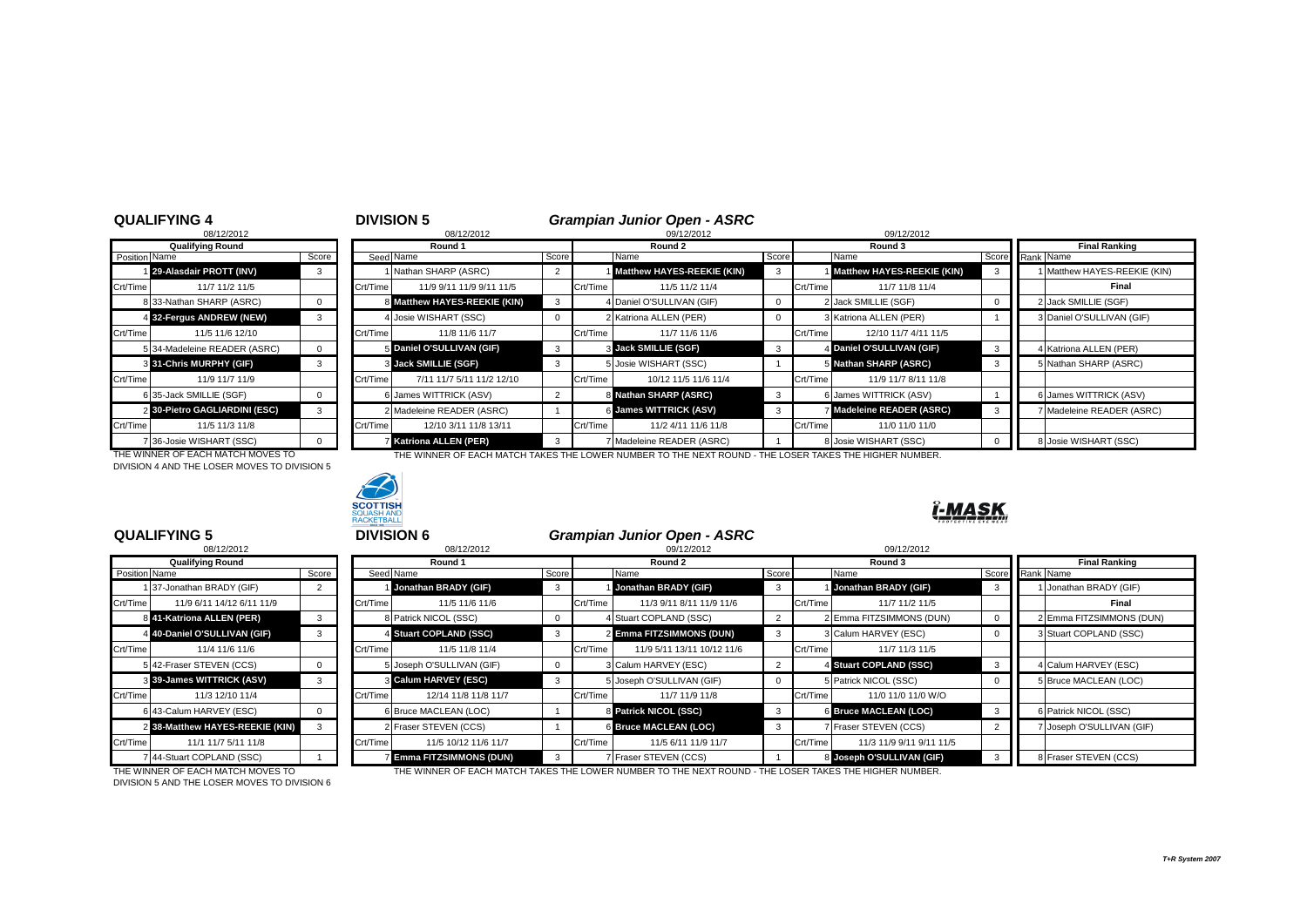|                | 100/1212012                  |       |
|----------------|------------------------------|-------|
|                | <b>Qualifying Round</b>      |       |
| Position Name  |                              | Score |
|                | 29-Alasdair PROTT (INV)      | з     |
| Crt/Time       | 11/7 11/2 11/5               |       |
| 8              | 33-Nathan SHARP (ASRC)       | O     |
| 4              | 32-Fergus ANDREW (NEW)       | з     |
| Crt/Time       | 11/5 11/6 12/10              |       |
|                | 5 34-Madeleine READER (ASRC) | O     |
| 3              | 31-Chris MURPHY (GIF)        | 3     |
| Crt/Time       | 11/9 11/7 11/9               |       |
|                | 6 35-Jack SMILLIE (SGF)      | O     |
| $\overline{2}$ | 30-Pietro GAGLIARDINI (ESC)  | 3     |
| Crt/Time       | 11/5 11/3 11/8               |       |
|                | 7 36-Josie WISHART (SSC)     |       |

|               | <b>QUALIFYING 4</b><br>08/12/2012 |              |                       | <b>DIVISION 5</b><br>08/12/2012 |                |          | <b>Grampian Junior Open - ASRC</b><br>09/12/2012 |              |          | 09/12/2012                 |                         |                                |
|---------------|-----------------------------------|--------------|-----------------------|---------------------------------|----------------|----------|--------------------------------------------------|--------------|----------|----------------------------|-------------------------|--------------------------------|
|               | <b>Qualifying Round</b>           |              |                       | Round 1                         |                |          | Round 2                                          |              |          | Round 3                    |                         | <b>Final Ranking</b>           |
| Position Name |                                   | Score        |                       | Seed Name                       | Score          |          | Name                                             | Score        |          | Name                       |                         | Score Rank Name                |
|               | 29-Alasdair PROTT (INV)           | 3            |                       | Nathan SHARP (ASRC)             | $\overline{2}$ |          | Matthew HAYES-REEKIE (KIN)                       |              |          | Matthew HAYES-REEKIE (KIN) |                         | 1 Matthew HAYES-REEKIE (KIN)   |
| Crt/Time      | 11/7 11/2 11/5                    |              | Crt/Time              | 11/9 9/11 11/9 9/11 11/5        |                | Crt/Time | 11/5 11/2 11/4                                   |              | Crt/Time | 11/7 11/8 11/4             |                         | Final                          |
|               | 8 33-Nathan SHARP (ASRC)          | $\Omega$     |                       | 8 Matthew HAYES-REEKIE (KIN)    |                |          | 4 Daniel O'SULLIVAN (GIF)                        |              |          | 2 Jack SMILLIE (SGF)       |                         | 2 Jack SMILLIE (SGF)           |
|               | 4 32-Fergus ANDREW (NEW)          | 3            |                       | 4 Josie WISHART (SSC)           |                |          | 2 Katriona ALLEN (PER)                           | <sup>0</sup> |          | 3 Katriona ALLEN (PER)     |                         | 3 Daniel O'SULLIVAN (GIF)      |
| Crt/Time      | 11/5 11/6 12/10                   |              | Crt/Time              | 11/8 11/6 11/7                  |                | Crt/Time | 11/7 11/6 11/6                                   |              | Crt/Time | 12/10 11/7 4/11 11/5       |                         |                                |
|               | 5 34-Madeleine READER (ASRC)      | $\mathbf{0}$ |                       | 5 Daniel O'SULLIVAN (GIF)       | 3              |          | 3 Jack SMILLIE (SGF)                             | 3            |          | 4 Daniel O'SULLIVAN (GIF)  | $\overline{\mathbf{3}}$ | 4 Katriona ALLEN (PER)         |
|               | 3 31-Chris MURPHY (GIF)           | 3            |                       | 3 Jack SMILLIE (SGF)            | 3              |          | 5 Josie WISHART (SSC)                            |              |          | 5 Nathan SHARP (ASRC)      | 3                       | 5 Nathan SHARP (ASRC)          |
| Crt/Time      | 11/9 11/7 11/9                    |              | Crt/Time              | 7/11 11/7 5/11 11/2 12/10       |                | Crt/Time | 10/12 11/5 11/6 11/4                             |              | Crt/Time | 11/9 11/7 8/11 11/8        |                         |                                |
|               | 6 35-Jack SMILLIE (SGF)           | $\Omega$     |                       | 6 James WITTRICK (ASV)          | $\overline{2}$ |          | 8 Nathan SHARP (ASRC)                            | 3            |          | 6 James WITTRICK (ASV)     |                         | 6 James WITTRICK (ASV)         |
|               | 2 30-Pietro GAGLIARDINI (ESC)     | 3            |                       | 2 Madeleine READER (ASRC)       |                |          | 6 James WITTRICK (ASV)                           | 3            |          | Madeleine READER (ASRC)    | 3                       | <b>Madeleine READER (ASRC)</b> |
| Crt/Time      | 11/5 11/3 11/8                    |              | Crt/Time <sup>l</sup> | 12/10 3/11 11/8 13/11           |                | Crt/Time | 11/2 4/11 11/6 11/8                              |              | Crt/Time | 11/0 11/0 11/0             |                         |                                |
|               | 7 36-Josie WISHART (SSC)          | $\Omega$     |                       | <b>Katriona ALLEN (PER)</b>     | 3              |          | Madeleine READER (ASRC)                          |              |          | 8 Josie WISHART (SSC)      |                         | 8 Josie WISHART (SSC)          |

DIVISION 4 AND THE LOSER MOVES TO DIVISION 5



THE WINNER OF EACH MATCH MOVES TO THE WINNER OF EACH MATCH TAKES THE LOWER NUMBER TO THE NEXT ROUND - THE LOSER TAKES THE HIGHER NUMBER.



### <u>Î-MASK</u>

|               | 08/12/2012                      |       |
|---------------|---------------------------------|-------|
|               | <b>Qualifying Round</b>         |       |
| Position Name |                                 | Score |
| 1             | 37-Jonathan BRADY (GIF)         | 2     |
| Crt/Time      | 11/9 6/11 14/12 6/11 11/9       |       |
|               | 841-Katriona ALLEN (PER)        | 3     |
|               | 4 40-Daniel O'SULLIVAN (GIF)    | 3     |
| Crt/Time      | 11/4 11/6 11/6                  |       |
|               | 5 42-Fraser STEVEN (CCS)        | 0     |
|               | 3 39-James WITTRICK (ASV)       | 3     |
| Crt/Time      | 11/3 12/10 11/4                 |       |
| 6             | 43-Calum HARVEY (ESC)           | 0     |
|               | 2 38-Matthew HAYES-REEKIE (KIN) | 3     |
| Crt/Time      | 11/1 11/7 5/11 11/8             |       |
|               | 7 44-Stuart COPLAND (SSC)       |       |

| <b>QUALIFYING 5</b><br>08/12/2012     |          |          | <b>DIVISION 6</b><br>08/12/2012 |              |          | <b>Grampian Junior Open - ASRC</b><br>09/12/2012                                                           |          |          | 09/12/2012                |          |                          |  |
|---------------------------------------|----------|----------|---------------------------------|--------------|----------|------------------------------------------------------------------------------------------------------------|----------|----------|---------------------------|----------|--------------------------|--|
| <b>Qualifying Round</b>               |          |          | Round 1                         | Round 2      |          |                                                                                                            |          |          | Round 3                   |          | <b>Final Ranking</b>     |  |
| Position Name                         | Score    |          | Seed Name                       | Score        |          | Score<br>Name                                                                                              |          |          | Name                      | Score    | Rank Name                |  |
| 37-Jonathan BRADY (GIF)               |          |          | Jonathan BRADY (GIF)            | 3            |          | Jonathan BRADY (GIF)                                                                                       | 3        |          | Jonathan BRADY (GIF)      | 3        | 1 Jonathan BRADY (GIF)   |  |
| Crt/Time<br>11/9 6/11 14/12 6/11 11/9 |          | Crt/Time | 11/5 11/6 11/6                  |              | Crt/Time | 11/3 9/11 8/11 11/9 11/6                                                                                   |          | Crt/Time | 11/7 11/2 11/5            |          | Final                    |  |
| 8 41-Katriona ALLEN (PER)             | 3        |          | 8 Patrick NICOL (SSC)           |              |          | 4 Stuart COPLAND (SSC)                                                                                     |          |          | 2 Emma FITZSIMMONS (DUN)  | 0        | 2 Emma FITZSIMMONS (DUN) |  |
| 4 40-Daniel O'SULLIVAN (GIF)          |          |          | 4 Stuart COPLAND (SSC)          |              |          | 2 Emma FITZSIMMONS (DUN)                                                                                   | 3        |          | 3 Calum HARVEY (ESC)      |          | 3 Stuart COPLAND (SSC)   |  |
| Crt/Time<br>11/4 11/6 11/6            |          | Crt/Time | 11/5 11/8 11/4                  |              | Crt/Time | 11/9 5/11 13/11 10/12 11/6                                                                                 |          | Crt/Time | 11/7 11/3 11/5            |          |                          |  |
| 5 42-Fraser STEVEN (CCS)              | $\Omega$ |          | 5 Joseph O'SULLIVAN (GIF)       |              |          | 3 Calum HARVEY (ESC)                                                                                       |          |          | 4 Stuart COPLAND (SSC)    | 3        | 4 Calum HARVEY (ESC)     |  |
| 3 39-James WITTRICK (ASV)             |          |          | <b>Calum HARVEY (ESC)</b>       | 3            |          | 5 Joseph O'SULLIVAN (GIF)                                                                                  | $\Omega$ |          | 5 Patrick NICOL (SSC)     | $\Omega$ | 5 Bruce MACLEAN (LOC)    |  |
| Crt/Time<br>11/3 12/10 11/4           |          | Crt/Time | 12/14 11/8 11/8 11/7            |              | Crt/Time | 11/7 11/9 11/8                                                                                             |          | Crt/Time | 11/0 11/0 11/0 W/O        |          |                          |  |
| 6 43-Calum HARVEY (ESC)               | $\Omega$ |          | 6 Bruce MACLEAN (LOC)           |              |          | 8 Patrick NICOL (SSC)                                                                                      | 3        |          | 6 Bruce MACLEAN (LOC)     | -3       | 6 Patrick NICOL (SSC)    |  |
| 2 38-Matthew HAYES-REEKIE (KIN)       |          |          | 2 Fraser STEVEN (CCS)           |              |          | 6 Bruce MACLEAN (LOC)                                                                                      | 3        |          | Fraser STEVEN (CCS)       |          | Joseph O'SULLIVAN (GIF)  |  |
| Crt/Time<br>11/1 11/7 5/11 11/8       |          | Crt/Time | 11/5 10/12 11/6 11/7            |              | Crt/Time | 11/5 6/11 11/9 11/7                                                                                        |          | Crt/Time | 11/3 11/9 9/11 9/11 11/5  |          |                          |  |
| 7 44-Stuart COPLAND (SSC)             |          |          | <b>Emma FITZSIMMONS (DUN)</b>   | $\mathbf{3}$ |          | 7 Fraser STEVEN (CCS)                                                                                      |          |          | 8 Joseph O'SULLIVAN (GIF) |          | 8 Fraser STEVEN (CCS)    |  |
| THE WINNER OF EACH MATCH MOVES TO     |          |          |                                 |              |          | THE WINNER OF EACH MATCH TAKES THE LOWER NI IMPERITO THE NEVT ROLIND. THE LOSER TAKES THE HIGHER NI IMPERI |          |          |                           |          |                          |  |

THE WINNER OF EACH MATCH MOVES TO<br>DIVISION 5 AND THE LOSER MOVES TO DIVISION 6

THE WINNER OF EACH MATCH TAKES THE LOWER NUMBER TO THE NEXT ROUND - THE LOSER TAKES THE HIGHER NUMBER.

*T+R System 2007*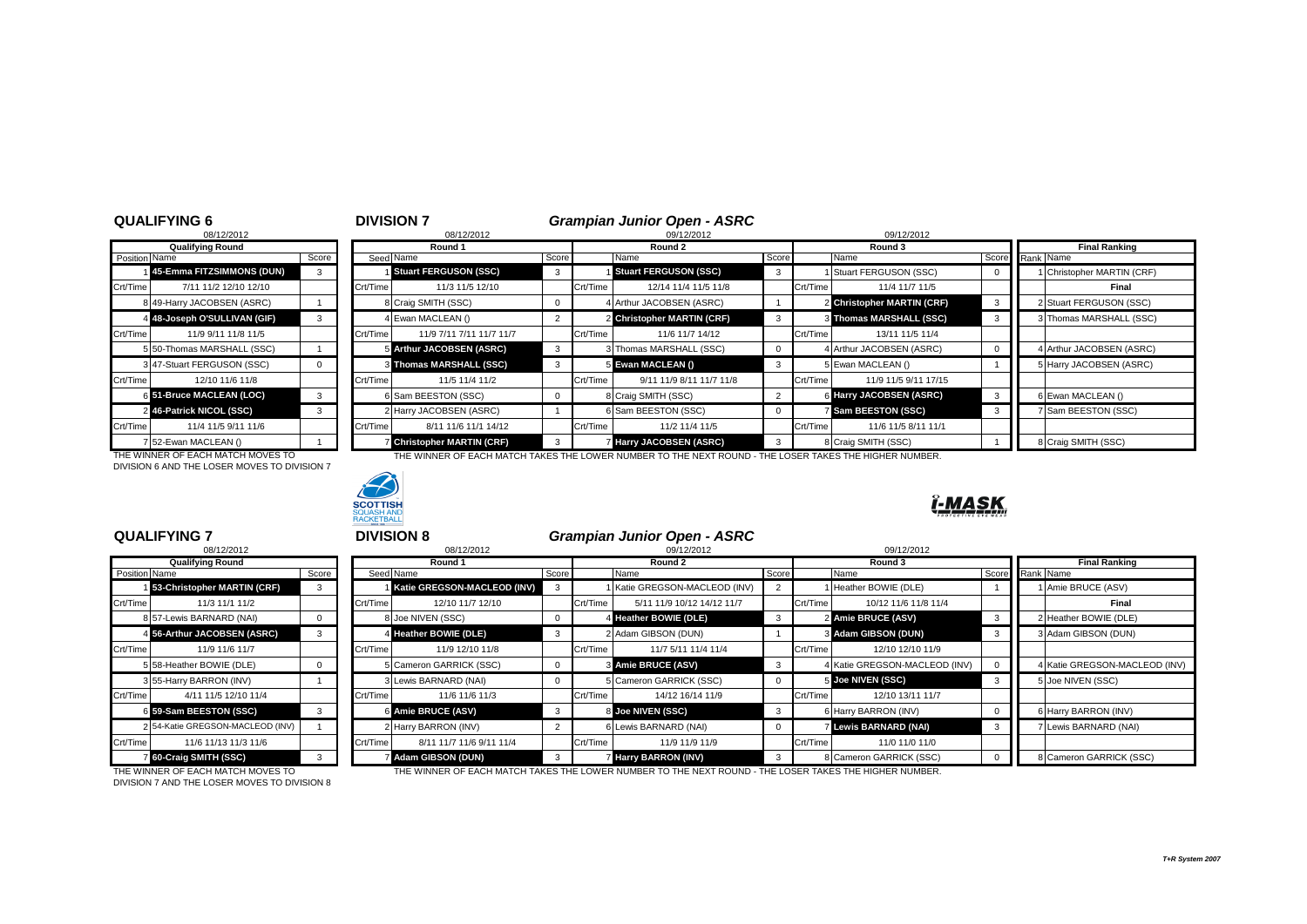|                | 08/12/2012                 |       |
|----------------|----------------------------|-------|
|                | <b>Qualifying Round</b>    |       |
| Position Name  |                            | Score |
|                | 45-Emma FITZSIMMONS (DUN)  | з     |
| Crt/Time       | 7/11 11/2 12/10 12/10      |       |
| 8              | 49-Harry JACOBSEN (ASRC)   |       |
| 4              | 48-Joseph O'SULLIVAN (GIF) | з     |
| Crt/Time       | 11/9 9/11 11/8 11/5        |       |
| 5              | 50-Thomas MARSHALL (SSC)   |       |
| 3              | 47-Stuart FERGUSON (SSC)   |       |
| Crt/Time       | 12/10 11/6 11/8            |       |
|                | 6 51-Bruce MACLEAN (LOC)   | 3     |
| $\overline{2}$ | 46-Patrick NICOL (SSC)     | 3     |
| Crt/Time       | 11/4 11/5 9/11 11/6        |       |
| 7              | 52-Ewan MACLEAN ()         |       |

|               | <b>QUALIFYING 6</b>          |       | <b>DIVISION 7</b> |                                 |       | <b>Grampian Junior Open - ASRC</b> |                              |              |          |                            |       |                            |
|---------------|------------------------------|-------|-------------------|---------------------------------|-------|------------------------------------|------------------------------|--------------|----------|----------------------------|-------|----------------------------|
|               | 08/12/2012                   |       |                   | 08/12/2012                      |       | 09/12/2012                         |                              |              |          | 09/12/2012                 |       |                            |
|               | <b>Qualifying Round</b>      |       |                   | Round 1                         |       |                                    | Round 2                      |              |          | Round 3                    |       | <b>Final Ranking</b>       |
| Position Name |                              | Score |                   | Seed Name                       | Score |                                    | Name                         | Score        |          | Name                       | Score | Rank Name                  |
|               | 45-Emma FITZSIMMONS (DUN)    |       |                   | Stuart FERGUSON (SSC)           | 3     |                                    | <b>Stuart FERGUSON (SSC)</b> | 3            |          | Stuart FERGUSON (SSC)      |       | 1 Christopher MARTIN (CRF) |
| Crt/Time      | 7/11 11/2 12/10 12/10        |       | Crt/Time          | 11/3 11/5 12/10                 |       | Crt/Time                           | 12/14 11/4 11/5 11/8         |              | Crt/Time | 11/4 11/7 11/5             |       | Final                      |
|               | 8 49-Harry JACOBSEN (ASRC)   |       |                   | 8 Craig SMITH (SSC)             |       |                                    | 4 Arthur JACOBSEN (ASRC)     |              |          | 2 Christopher MARTIN (CRF) | - 3   | 2 Stuart FERGUSON (SSC)    |
|               | 4 48-Joseph O'SULLIVAN (GIF) |       |                   | 4 Ewan MACLEAN ()               |       |                                    | 2 Christopher MARTIN (CRF)   |              |          | 3 Thomas MARSHALL (SSC)    |       | 3 Thomas MARSHALL (SSC)    |
| Crt/Time      | 11/9 9/11 11/8 11/5          |       | Crt/Time          | 11/9 7/11 7/11 11/7 11/7        |       | Crt/Time                           | 11/6 11/7 14/12              |              | Crt/Time | 13/11 11/5 11/4            |       |                            |
|               | 5 50-Thomas MARSHALL (SSC)   |       |                   | 5 Arthur JACOBSEN (ASRC)        | 3     |                                    | 3 Thomas MARSHALL (SSC)      | $\Omega$     |          | 4 Arthur JACOBSEN (ASRC)   |       | 4 Arthur JACOBSEN (ASRC)   |
|               | 3 47-Stuart FERGUSON (SSC)   |       |                   | 3 Thomas MARSHALL (SSC)         |       |                                    | 5 Ewan MACLEAN ()            | 3            |          | 5 Ewan MACLEAN ()          |       | 5 Harry JACOBSEN (ASRC)    |
| Crt/Time      | 12/10 11/6 11/8              |       | Crt/Time          | 11/5 11/4 11/2                  |       | Crt/Time                           | 9/11 11/9 8/11 11/7 11/8     |              | Crt/Time | 11/9 11/5 9/11 17/15       |       |                            |
|               | 6 51-Bruce MACLEAN (LOC)     |       |                   | 6 Sam BEESTON (SSC)             |       |                                    | 8 Craig SMITH (SSC)          |              |          | 6 Harry JACOBSEN (ASRC)    |       | 6 Ewan MACLEAN ()          |
|               | 2 46-Patrick NICOL (SSC)     |       |                   | 2 Harry JACOBSEN (ASRC)         |       |                                    | 6 Sam BEESTON (SSC)          | 0            |          | <b>Sam BEESTON (SSC)</b>   | 3     | 7 Sam BEESTON (SSC)        |
| Crt/Time      | 11/4 11/5 9/11 11/6          |       | Crt/Time          | 8/11 11/6 11/1 14/12            |       | Crt/Time                           | 11/2 11/4 11/5               |              | Crt/Time | 11/6 11/5 8/11 11/1        |       |                            |
|               | 7 52-Ewan MACLEAN ()         |       |                   | <b>Christopher MARTIN (CRF)</b> | 3     |                                    | 7 Harry JACOBSEN (ASRC)      | $\mathbf{3}$ |          | 8 Craig SMITH (SSC)        |       | 8 Craig SMITH (SSC)        |

THE WINNER OF EACH MATCH MOVES TO THE WINNER OF EACH MATCH TAKES THE LOWER NUMBER TO THE NEXT ROUND - THE LOSER TAKES THE HIGHER NUMBER. DIVISION 6 AND THE LOSER MOVES TO DIVISION 7



|               | 08/12/2012                       |       |
|---------------|----------------------------------|-------|
|               | <b>Qualifying Round</b>          |       |
| Position Name |                                  | Score |
|               | 153-Christopher MARTIN (CRF)     | 3     |
| Crt/Time      | 11/3 11/1 11/2                   |       |
|               | 8157-Lewis BARNARD (NAI)         | 0     |
|               | 4 56-Arthur JACOBSEN (ASRC)      | 3     |
| Crt/Time      | 11/9 11/6 11/7                   |       |
|               | 5 58-Heather BOWIE (DLE)         | 0     |
|               | 3 55-Harry BARRON (INV)          | 1     |
| Crt/Time      | 4/11 11/5 12/10 11/4             |       |
|               | 6 59-Sam BEESTON (SSC)           | 3     |
|               | 2 54-Katie GREGSON-MACLEOD (INV) |       |
| Crt/Time      | 11/6 11/13 11/3 11/6             |       |
|               | 7 60-Craig SMITH (SSC)           | 3     |

**QUALIFYING 7** <sup>7</sup> **DIVISION 8** *Grampian Junior Open - ASRC* 08/12/2012 8 08/12/2012 09/12/2012 09/12/2012 **Qualifying Round Round 1 Round 2 Round 3 Final Ranking** Position Name Score | Score Score Score Score | Name Score Name Score Name Score Rank Name **Katie GREGSON-MACLEOD (INV)** 3 1 1 Katie GREGSON-MACLEOD (INV) 2 1 Heather BOWIE (DLE) 1 1 1 1 Amie BRUCE (ASV) Crt/Time 11/3 11/1 11/2 Crt/Time 12/10 11/7 12/10 Crt/Time 5/11 11/9 10/12 14/12 11/7 Crt/Time 10/12 11/6 11/8 11/4 **Final** 8 57-Lewis BARNARD (NAI) 0 8 Joe NIVEN (SSC) 0 4 **Heather BOWIE (DLE)** 3 2 **Amie BRUCE (ASV)** 3 2 Heather BOWIE (DLE) 1 4 **56-Arthur JACOBSEN (ASRC)** 3 4 Heather BOWIE (DLE) 3 2 Adam GIBSON (DUN) 1 3 Adam GIBSON (DUN) 3 3 3 Adam GIBSON (DUN) Crt/Time | 11/9 11/6 11/7 | Crt/Time | 11/9 12/10 11/8 | Crt/Time | 11/7 5/11 11/4 11/4 | Crt/Time | 12/10 11/9 Cameron GARRICK (SSC) 0 3 Amie BRUCE (ASV) 3 4 Katie GREGSON-MACLEOD (INV) 0 4 Katie GREGSON-MACLEOD (INV) 3 Lewis BARNARD (NAI) 1 3 Lewis BARNARD (NAI) 0 5 Cameron GARRICK (SSC) 0 5 Joe NIVEN **(SSC)** 3 5 Joe NIVEN (SSC) Crt/Time 4/11 11/5 12/10 11/4 Crt/Time 11/6 11/6 11/3 Crt/Time 14/12 16/14 11/9 Crt/Time 12/10 13/11 11/7 6 59-Sam BEESTON (SSC) 3 | | 6 Amie BRUCE (ASV) 3 | 8 Joe NIVEN (SSC) 3 | 6 Harry BARRON (INV) | 0 || 6 Harry BARRON (INV) 2 54-Katie GREGSON-MACLEOD (INV) 1 2 Harry BARRON (INV) 2 6 Lewis BARNARD (NAI) 0 7 **Lewis BARNARD (NAI)** 3 7 Lewis BARNARD (NAI) Crt/Time 8/11 11/7 11/6 9/11 11/4 Crt/Time 11/9 11/9 11/9 11/9 Crt/Time 11/0 11/0 11/0 Adam GIBSON (DUN) 3 7 **Harry BARRON (INV)** 3 8 Cameron GARRICK (SSC) 0 8 Cameron GARRICK (SSC)

DIVISION 7 AND THE LOSER MOVES TO DIVISION 8

THE WINNER OF EACH MATCH MOVES TO THE WINNER OF EACH MATCH TAKES THE LOWER NUMBER TO THE NEXT ROUND - THE LOSER TAKES THE HIGHER NUMBER.